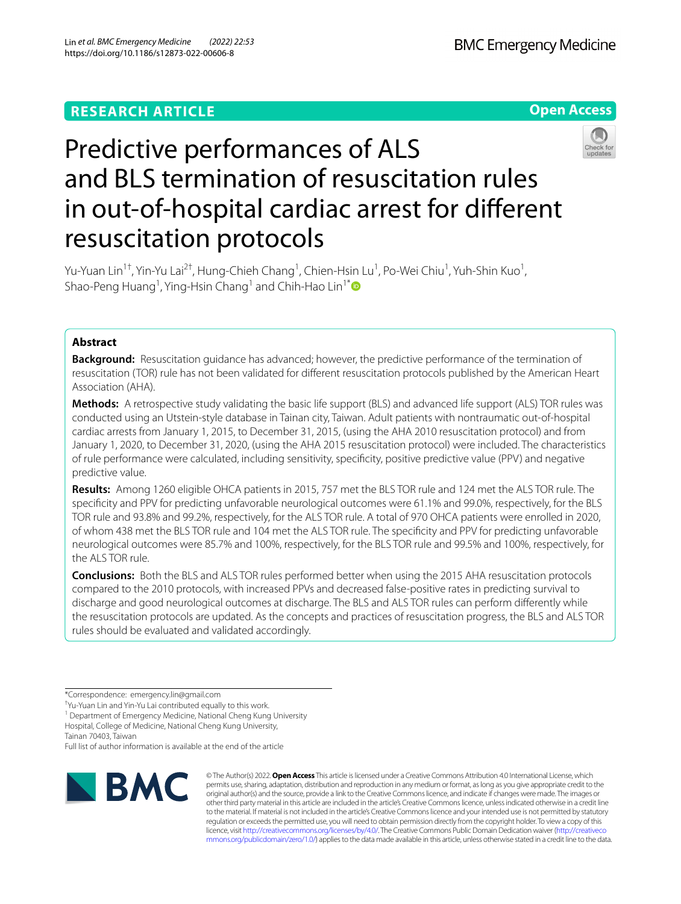



# Predictive performances of ALS and BLS termination of resuscitation rules in out-of-hospital cardiac arrest for diferent resuscitation protocols

Yu-Yuan Lin<sup>1†</sup>, Yin-Yu Lai<sup>2†</sup>, Hung-Chieh Chang<sup>1</sup>, Chien-Hsin Lu<sup>1</sup>, Po-Wei Chiu<sup>1</sup>, Yuh-Shin Kuo<sup>1</sup>, Shao-Peng Huang<sup>1</sup>, Ying-Hsin Chang<sup>1</sup> and Chih-Hao Lin<sup>1[\\*](http://orcid.org/0000-0002-0042-0131)</sup>

# **Abstract**

**Background:** Resuscitation guidance has advanced; however, the predictive performance of the termination of resuscitation (TOR) rule has not been validated for diferent resuscitation protocols published by the American Heart Association (AHA).

**Methods:** A retrospective study validating the basic life support (BLS) and advanced life support (ALS) TOR rules was conducted using an Utstein-style database in Tainan city, Taiwan. Adult patients with nontraumatic out-of-hospital cardiac arrests from January 1, 2015, to December 31, 2015, (using the AHA 2010 resuscitation protocol) and from January 1, 2020, to December 31, 2020, (using the AHA 2015 resuscitation protocol) were included. The characteristics of rule performance were calculated, including sensitivity, specifcity, positive predictive value (PPV) and negative predictive value.

**Results:** Among 1260 eligible OHCA patients in 2015, 757 met the BLS TOR rule and 124 met the ALS TOR rule. The specifcity and PPV for predicting unfavorable neurological outcomes were 61.1% and 99.0%, respectively, for the BLS TOR rule and 93.8% and 99.2%, respectively, for the ALS TOR rule. A total of 970 OHCA patients were enrolled in 2020, of whom 438 met the BLS TOR rule and 104 met the ALS TOR rule. The specifcity and PPV for predicting unfavorable neurological outcomes were 85.7% and 100%, respectively, for the BLS TOR rule and 99.5% and 100%, respectively, for the ALS TOR rule.

**Conclusions:** Both the BLS and ALS TOR rules performed better when using the 2015 AHA resuscitation protocols compared to the 2010 protocols, with increased PPVs and decreased false-positive rates in predicting survival to discharge and good neurological outcomes at discharge. The BLS and ALS TOR rules can perform diferently while the resuscitation protocols are updated. As the concepts and practices of resuscitation progress, the BLS and ALS TOR rules should be evaluated and validated accordingly.

Tainan 70403, Taiwan

Full list of author information is available at the end of the article



© The Author(s) 2022. **Open Access** This article is licensed under a Creative Commons Attribution 4.0 International License, which permits use, sharing, adaptation, distribution and reproduction in any medium or format, as long as you give appropriate credit to the original author(s) and the source, provide a link to the Creative Commons licence, and indicate if changes were made. The images or other third party material in this article are included in the article's Creative Commons licence, unless indicated otherwise in a credit line to the material. If material is not included in the article's Creative Commons licence and your intended use is not permitted by statutory regulation or exceeds the permitted use, you will need to obtain permission directly from the copyright holder. To view a copy of this licence, visit [http://creativecommons.org/licenses/by/4.0/.](http://creativecommons.org/licenses/by/4.0/) The Creative Commons Public Domain Dedication waiver ([http://creativeco](http://creativecommons.org/publicdomain/zero/1.0/) [mmons.org/publicdomain/zero/1.0/](http://creativecommons.org/publicdomain/zero/1.0/)) applies to the data made available in this article, unless otherwise stated in a credit line to the data.

<sup>\*</sup>Correspondence: emergency.lin@gmail.com

<sup>†</sup> Yu-Yuan Lin and Yin-Yu Lai contributed equally to this work.

<sup>&</sup>lt;sup>1</sup> Department of Emergency Medicine, National Cheng Kung University

Hospital, College of Medicine, National Cheng Kung University,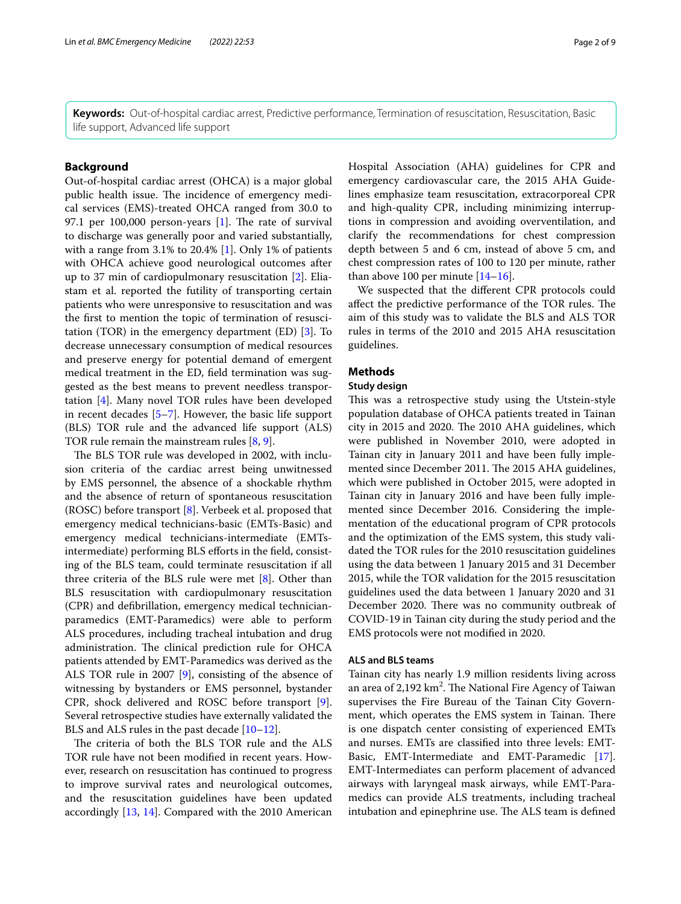**Keywords:** Out-of-hospital cardiac arrest, Predictive performance, Termination of resuscitation, Resuscitation, Basic life support, Advanced life support

# **Background**

Out-of-hospital cardiac arrest (OHCA) is a major global public health issue. The incidence of emergency medical services (EMS)-treated OHCA ranged from 30.0 to 97.1 per  $100,000$  person-years [[1\]](#page-7-0). The rate of survival to discharge was generally poor and varied substantially, with a range from 3.1% to 20.4% [\[1](#page-7-0)]. Only 1% of patients with OHCA achieve good neurological outcomes after up to 37 min of cardiopulmonary resuscitation [\[2](#page-7-1)]. Eliastam et al. reported the futility of transporting certain patients who were unresponsive to resuscitation and was the frst to mention the topic of termination of resuscitation (TOR) in the emergency department (ED) [\[3](#page-8-0)]. To decrease unnecessary consumption of medical resources and preserve energy for potential demand of emergent medical treatment in the ED, feld termination was suggested as the best means to prevent needless transportation [[4\]](#page-8-1). Many novel TOR rules have been developed in recent decades [\[5–](#page-8-2)[7\]](#page-8-3). However, the basic life support (BLS) TOR rule and the advanced life support (ALS) TOR rule remain the mainstream rules [[8,](#page-8-4) [9](#page-8-5)].

The BLS TOR rule was developed in 2002, with inclusion criteria of the cardiac arrest being unwitnessed by EMS personnel, the absence of a shockable rhythm and the absence of return of spontaneous resuscitation (ROSC) before transport [\[8](#page-8-4)]. Verbeek et al. proposed that emergency medical technicians-basic (EMTs-Basic) and emergency medical technicians-intermediate (EMTsintermediate) performing BLS efforts in the field, consisting of the BLS team, could terminate resuscitation if all three criteria of the BLS rule were met [[8\]](#page-8-4). Other than BLS resuscitation with cardiopulmonary resuscitation (CPR) and defbrillation, emergency medical technicianparamedics (EMT-Paramedics) were able to perform ALS procedures, including tracheal intubation and drug administration. The clinical prediction rule for OHCA patients attended by EMT-Paramedics was derived as the ALS TOR rule in 2007 [[9](#page-8-5)], consisting of the absence of witnessing by bystanders or EMS personnel, bystander CPR, shock delivered and ROSC before transport [\[9](#page-8-5)]. Several retrospective studies have externally validated the BLS and ALS rules in the past decade [[10](#page-8-6)[–12](#page-8-7)].

The criteria of both the BLS TOR rule and the ALS TOR rule have not been modifed in recent years. However, research on resuscitation has continued to progress to improve survival rates and neurological outcomes, and the resuscitation guidelines have been updated accordingly [\[13,](#page-8-8) [14](#page-8-9)]. Compared with the 2010 American Hospital Association (AHA) guidelines for CPR and emergency cardiovascular care, the 2015 AHA Guidelines emphasize team resuscitation, extracorporeal CPR and high-quality CPR, including minimizing interruptions in compression and avoiding overventilation, and clarify the recommendations for chest compression depth between 5 and 6 cm, instead of above 5 cm, and chest compression rates of 100 to 120 per minute, rather than above 100 per minute  $[14–16]$  $[14–16]$ .

We suspected that the diferent CPR protocols could affect the predictive performance of the TOR rules. The aim of this study was to validate the BLS and ALS TOR rules in terms of the 2010 and 2015 AHA resuscitation guidelines.

# **Methods**

# **Study design**

This was a retrospective study using the Utstein-style population database of OHCA patients treated in Tainan city in 2015 and 2020. The 2010 AHA guidelines, which were published in November 2010, were adopted in Tainan city in January 2011 and have been fully implemented since December 2011. The 2015 AHA guidelines, which were published in October 2015, were adopted in Tainan city in January 2016 and have been fully implemented since December 2016. Considering the implementation of the educational program of CPR protocols and the optimization of the EMS system, this study validated the TOR rules for the 2010 resuscitation guidelines using the data between 1 January 2015 and 31 December 2015, while the TOR validation for the 2015 resuscitation guidelines used the data between 1 January 2020 and 31 December 2020. There was no community outbreak of COVID-19 in Tainan city during the study period and the EMS protocols were not modifed in 2020.

# **ALS and BLS teams**

Tainan city has nearly 1.9 million residents living across an area of  $2,192 \text{ km}^2$ . The National Fire Agency of Taiwan supervises the Fire Bureau of the Tainan City Government, which operates the EMS system in Tainan. There is one dispatch center consisting of experienced EMTs and nurses. EMTs are classifed into three levels: EMT-Basic, EMT-Intermediate and EMT-Paramedic [\[17](#page-8-11)]. EMT-Intermediates can perform placement of advanced airways with laryngeal mask airways, while EMT-Paramedics can provide ALS treatments, including tracheal intubation and epinephrine use. The ALS team is defined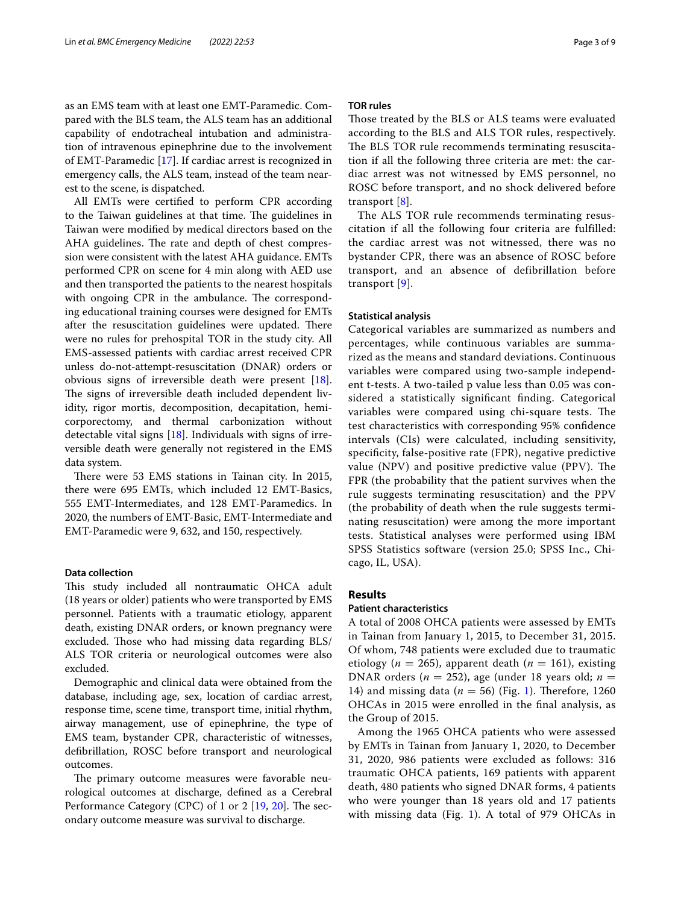as an EMS team with at least one EMT-Paramedic. Compared with the BLS team, the ALS team has an additional capability of endotracheal intubation and administration of intravenous epinephrine due to the involvement of EMT-Paramedic [[17\]](#page-8-11). If cardiac arrest is recognized in emergency calls, the ALS team, instead of the team nearest to the scene, is dispatched.

All EMTs were certifed to perform CPR according to the Taiwan guidelines at that time. The guidelines in Taiwan were modifed by medical directors based on the AHA guidelines. The rate and depth of chest compression were consistent with the latest AHA guidance. EMTs performed CPR on scene for 4 min along with AED use and then transported the patients to the nearest hospitals with ongoing CPR in the ambulance. The corresponding educational training courses were designed for EMTs after the resuscitation guidelines were updated. There were no rules for prehospital TOR in the study city. All EMS-assessed patients with cardiac arrest received CPR unless do-not-attempt-resuscitation (DNAR) orders or obvious signs of irreversible death were present [\[18](#page-8-12)]. The signs of irreversible death included dependent lividity, rigor mortis, decomposition, decapitation, hemicorporectomy, and thermal carbonization without detectable vital signs [\[18](#page-8-12)]. Individuals with signs of irreversible death were generally not registered in the EMS data system.

There were 53 EMS stations in Tainan city. In 2015, there were 695 EMTs, which included 12 EMT-Basics, 555 EMT-Intermediates, and 128 EMT-Paramedics. In 2020, the numbers of EMT-Basic, EMT-Intermediate and EMT-Paramedic were 9, 632, and 150, respectively.

# **Data collection**

This study included all nontraumatic OHCA adult (18 years or older) patients who were transported by EMS personnel. Patients with a traumatic etiology, apparent death, existing DNAR orders, or known pregnancy were excluded. Those who had missing data regarding BLS/ ALS TOR criteria or neurological outcomes were also excluded.

Demographic and clinical data were obtained from the database, including age, sex, location of cardiac arrest, response time, scene time, transport time, initial rhythm, airway management, use of epinephrine, the type of EMS team, bystander CPR, characteristic of witnesses, defbrillation, ROSC before transport and neurological outcomes.

The primary outcome measures were favorable neurological outcomes at discharge, defned as a Cerebral Performance Category (CPC) of 1 or  $2$  [[19,](#page-8-13) [20\]](#page-8-14). The secondary outcome measure was survival to discharge.

# **TOR rules**

Those treated by the BLS or ALS teams were evaluated according to the BLS and ALS TOR rules, respectively. The BLS TOR rule recommends terminating resuscitation if all the following three criteria are met: the cardiac arrest was not witnessed by EMS personnel, no ROSC before transport, and no shock delivered before transport [[8](#page-8-4)].

The ALS TOR rule recommends terminating resuscitation if all the following four criteria are fulfilled: the cardiac arrest was not witnessed, there was no bystander CPR, there was an absence of ROSC before transport, and an absence of defibrillation before transport [[9\]](#page-8-5).

## **Statistical analysis**

Categorical variables are summarized as numbers and percentages, while continuous variables are summarized as the means and standard deviations. Continuous variables were compared using two-sample independent t-tests. A two-tailed p value less than 0.05 was considered a statistically signifcant fnding. Categorical variables were compared using chi-square tests. The test characteristics with corresponding 95% confdence intervals (CIs) were calculated, including sensitivity, specifcity, false-positive rate (FPR), negative predictive value (NPV) and positive predictive value (PPV). The FPR (the probability that the patient survives when the rule suggests terminating resuscitation) and the PPV (the probability of death when the rule suggests terminating resuscitation) were among the more important tests. Statistical analyses were performed using IBM SPSS Statistics software (version 25.0; SPSS Inc., Chicago, IL, USA).

## **Results**

## **Patient characteristics**

A total of 2008 OHCA patients were assessed by EMTs in Tainan from January 1, 2015, to December 31, 2015. Of whom, 748 patients were excluded due to traumatic etiology ( $n = 265$ ), apparent death ( $n = 161$ ), existing DNAR orders (*n* = 252), age (under 18 years old; *n* = [1](#page-3-0)4) and missing data ( $n = 56$ ) (Fig. 1). Therefore, 1260 OHCAs in 2015 were enrolled in the fnal analysis, as the Group of 2015.

Among the 1965 OHCA patients who were assessed by EMTs in Tainan from January 1, 2020, to December 31, 2020, 986 patients were excluded as follows: 316 traumatic OHCA patients, 169 patients with apparent death, 480 patients who signed DNAR forms, 4 patients who were younger than 18 years old and 17 patients with missing data (Fig. [1\)](#page-3-0). A total of 979 OHCAs in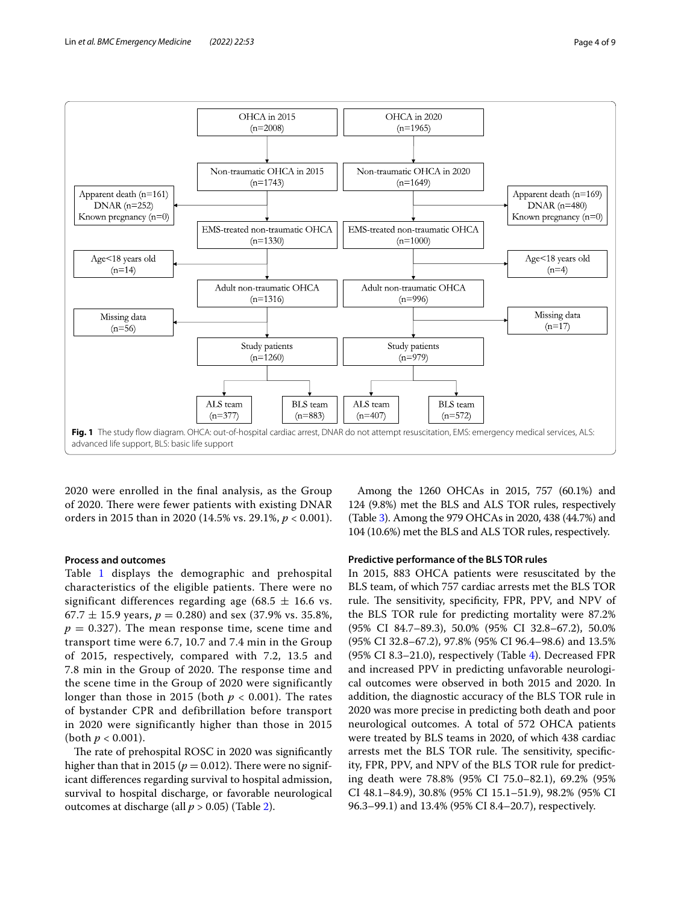

<span id="page-3-0"></span>2020 were enrolled in the fnal analysis, as the Group of 2020. There were fewer patients with existing DNAR orders in 2015 than in 2020 (14.5% vs. 29.1%, *p* < 0.001).

## **Process and outcomes**

Table [1](#page-4-0) displays the demographic and prehospital characteristics of the eligible patients. There were no significant differences regarding age (68.5  $\pm$  16.6 vs.  $67.7 \pm 15.9$  years,  $p = 0.280$ ) and sex (37.9% vs. 35.8%,  $p = 0.327$ ). The mean response time, scene time and transport time were 6.7, 10.7 and 7.4 min in the Group of 2015, respectively, compared with 7.2, 13.5 and 7.8 min in the Group of 2020. The response time and the scene time in the Group of 2020 were significantly longer than those in 2015 (both  $p < 0.001$ ). The rates of bystander CPR and defibrillation before transport in 2020 were significantly higher than those in 2015 (both  $p < 0.001$ ).

The rate of prehospital ROSC in 2020 was significantly higher than that in 2015 ( $p = 0.012$ ). There were no significant diferences regarding survival to hospital admission, survival to hospital discharge, or favorable neurological outcomes at discharge (all *p* > 0.05) (Table [2](#page-4-1)).

Among the 1260 OHCAs in 2015, 757 (60.1%) and 124 (9.8%) met the BLS and ALS TOR rules, respectively (Table [3](#page-4-2)). Among the 979 OHCAs in 2020, 438 (44.7%) and 104 (10.6%) met the BLS and ALS TOR rules, respectively.

## **Predictive performance of the BLS TOR rules**

In 2015, 883 OHCA patients were resuscitated by the BLS team, of which 757 cardiac arrests met the BLS TOR rule. The sensitivity, specificity, FPR, PPV, and NPV of the BLS TOR rule for predicting mortality were 87.2% (95% CI 84.7–89.3), 50.0% (95% CI 32.8–67.2), 50.0% (95% CI 32.8–67.2), 97.8% (95% CI 96.4–98.6) and 13.5% (95% CI 8.3–21.0), respectively (Table [4\)](#page-5-0). Decreased FPR and increased PPV in predicting unfavorable neurological outcomes were observed in both 2015 and 2020. In addition, the diagnostic accuracy of the BLS TOR rule in 2020 was more precise in predicting both death and poor neurological outcomes. A total of 572 OHCA patients were treated by BLS teams in 2020, of which 438 cardiac arrests met the BLS TOR rule. The sensitivity, specificity, FPR, PPV, and NPV of the BLS TOR rule for predicting death were 78.8% (95% CI 75.0–82.1), 69.2% (95% CI 48.1–84.9), 30.8% (95% CI 15.1–51.9), 98.2% (95% CI 96.3–99.1) and 13.4% (95% CI 8.4–20.7), respectively.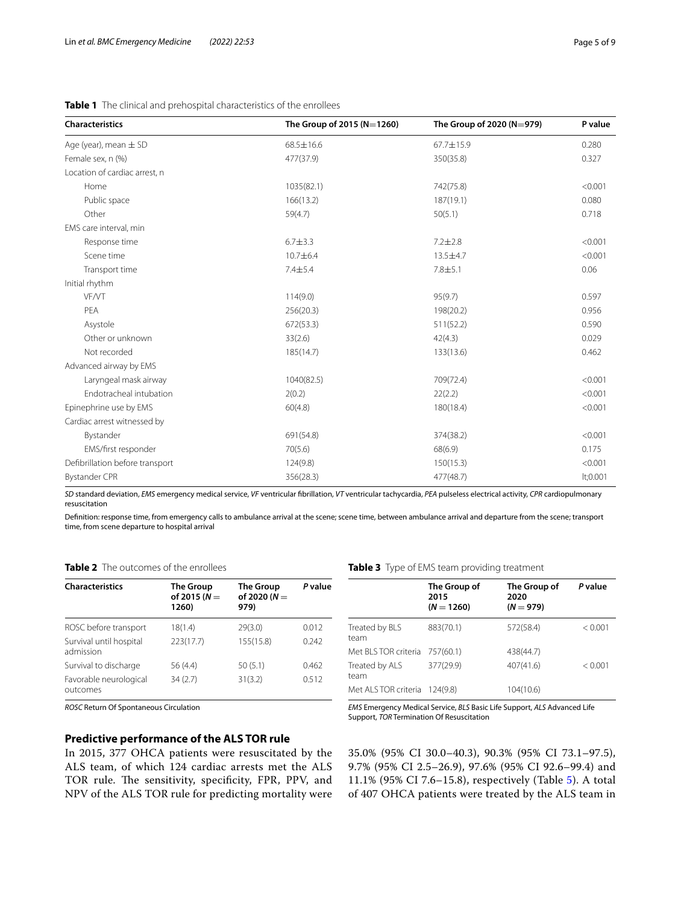| <b>Characteristics</b>          | The Group of 2015 (N=1260) | The Group of 2020 ( $N=979$ ) | P value  |  |
|---------------------------------|----------------------------|-------------------------------|----------|--|
| Age (year), mean $\pm$ SD       | 68.5±16.6                  | 67.7±15.9                     | 0.280    |  |
| Female sex, n (%)               | 477(37.9)                  | 350(35.8)                     | 0.327    |  |
| Location of cardiac arrest, n   |                            |                               |          |  |
| Home                            | 1035(82.1)                 | 742(75.8)                     | < 0.001  |  |
| Public space                    | 166(13.2)                  | 187(19.1)                     | 0.080    |  |
| Other                           | 59(4.7)                    | 50(5.1)                       | 0.718    |  |
| EMS care interval, min          |                            |                               |          |  |
| Response time                   | $6.7 + 3.3$                | $7.2 \pm 2.8$                 | < 0.001  |  |
| Scene time                      | 10.7±6.4                   | 13.5±4.7                      | < 0.001  |  |
| Transport time                  | 7.4±5.4                    | $7.8 + 5.1$                   | 0.06     |  |
| Initial rhythm                  |                            |                               |          |  |
| <b>VF/VT</b>                    | 114(9.0)                   | 95(9.7)                       | 0.597    |  |
| PEA                             | 256(20.3)                  | 198(20.2)                     | 0.956    |  |
| Asystole                        | 672(53.3)                  | 511(52.2)                     | 0.590    |  |
| Other or unknown                | 33(2.6)                    | 42(4.3)                       | 0.029    |  |
| Not recorded                    | 185(14.7)                  | 133(13.6)                     | 0.462    |  |
| Advanced airway by EMS          |                            |                               |          |  |
| Laryngeal mask airway           | 1040(82.5)                 | 709(72.4)                     | < 0.001  |  |
| Endotracheal intubation         | 2(0.2)                     | 22(2.2)                       | < 0.001  |  |
| Epinephrine use by EMS          | 60(4.8)                    | 180(18.4)                     | < 0.001  |  |
| Cardiac arrest witnessed by     |                            |                               |          |  |
| Bystander                       | 691(54.8)                  | 374(38.2)                     | < 0.001  |  |
| EMS/first responder             | 70(5.6)                    | 68(6.9)                       | 0.175    |  |
| Defibrillation before transport | 124(9.8)                   | 150(15.3)                     | < 0.001  |  |
| <b>Bystander CPR</b>            | 356(28.3)                  | 477(48.7)                     | lt;0.001 |  |

## <span id="page-4-0"></span>**Table 1** The clinical and prehospital characteristics of the enrollees

*SD* standard deviation, *EMS* emergency medical service, *VF* ventricular fbrillation, *VT* ventricular tachycardia, *PEA* pulseless electrical activity, *CPR* cardiopulmonary resuscitation

Defnition: response time, from emergency calls to ambulance arrival at the scene; scene time, between ambulance arrival and departure from the scene; transport time, from scene departure to hospital arrival

# <span id="page-4-1"></span>**Table 2** The outcomes of the enrollees

| <b>Characteristics</b>               | <b>The Group</b><br>of 2015 ( $N =$<br>1260) | <b>The Group</b><br>of 2020 $(N =$<br>979) | P value |  |
|--------------------------------------|----------------------------------------------|--------------------------------------------|---------|--|
| ROSC before transport                | 18(1.4)                                      | 29(3.0)                                    | 0.012   |  |
| Survival until hospital<br>admission | 223(17.7)                                    | 155(15.8)                                  | 0.242   |  |
| Survival to discharge                | 56 (4.4)                                     | 50(5.1)                                    | 0.462   |  |
| Favorable neurological<br>outcomes   | 34(2.7)                                      | 31(3.2)                                    | 0.512   |  |

*ROSC* Return Of Spontaneous Circulation

# **Predictive performance of the ALS TOR rule**

In 2015, 377 OHCA patients were resuscitated by the ALS team, of which 124 cardiac arrests met the ALS TOR rule. The sensitivity, specificity, FPR, PPV, and NPV of the ALS TOR rule for predicting mortality were

## <span id="page-4-2"></span>**Table 3** Type of EMS team providing treatment

|                                | The Group of<br>2015<br>$(N = 1260)$ | The Group of<br>2020<br>$(N = 979)$ | P value |
|--------------------------------|--------------------------------------|-------------------------------------|---------|
| Treated by BLS<br>team         | 883(70.1)                            | 572(58.4)                           | < 0.001 |
| Met BLS TOR criteria 757(60.1) |                                      | 438(44.7)                           |         |
| Treated by ALS<br>team         | 377(29.9)                            | 407(41.6)                           | < 0.001 |
| Met ALS TOR criteria           | 124(9.8)                             | 104(10.6)                           |         |

*EMS* Emergency Medical Service, *BLS* Basic Life Support, *ALS* Advanced Life Support, *TOR* Termination Of Resuscitation

35.0% (95% CI 30.0–40.3), 90.3% (95% CI 73.1–97.5), 9.7% (95% CI 2.5–26.9), 97.6% (95% CI 92.6–99.4) and 11.1% (95% CI 7.6–15.8), respectively (Table [5\)](#page-5-1). A total of 407 OHCA patients were treated by the ALS team in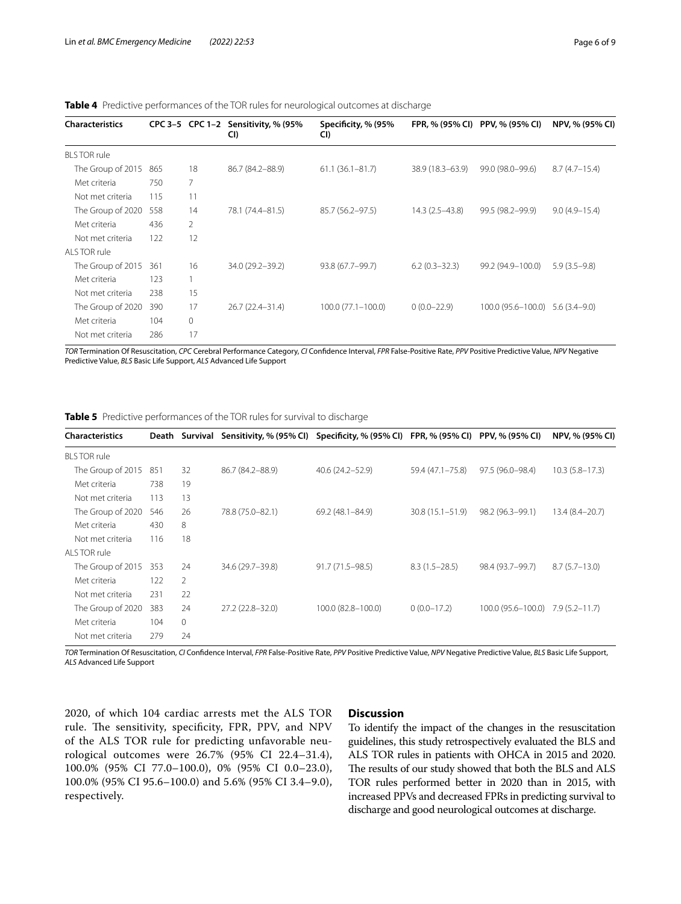Met criteria 104 0 Not met criteria 286 17

| <b>Characteristics</b> |     |    | CPC 3-5 CPC 1-2 Sensitivity, % (95%)<br>CI) | Specificity, % (95%<br>CI) | FPR, % (95% CI)     | PPV, % (95% CI)       | NPV, % (95% CI)   |
|------------------------|-----|----|---------------------------------------------|----------------------------|---------------------|-----------------------|-------------------|
| <b>BLS TOR rule</b>    |     |    |                                             |                            |                     |                       |                   |
| The Group of 2015      | 865 | 18 | 86.7 (84.2-88.9)                            | $61.1(36.1 - 81.7)$        | $38.9(18.3 - 63.9)$ | 99.0 (98.0-99.6)      | $8.7(4.7-15.4)$   |
| Met criteria           | 750 | 7  |                                             |                            |                     |                       |                   |
| Not met criteria       | 115 | 11 |                                             |                            |                     |                       |                   |
| The Group of 2020      | 558 | 14 | 78.1 (74.4-81.5)                            | 85.7 (56.2-97.5)           | $14.3(2.5-43.8)$    | 99.5 (98.2-99.9)      | $9.0(4.9 - 15.4)$ |
| Met criteria           | 436 | 2  |                                             |                            |                     |                       |                   |
| Not met criteria       | 122 | 12 |                                             |                            |                     |                       |                   |
| ALS TOR rule           |     |    |                                             |                            |                     |                       |                   |
| The Group of 2015 361  |     | 16 | 34.0 (29.2-39.2)                            | 93.8 (67.7-99.7)           | $6.2(0.3 - 32.3)$   | 99.2 (94.9-100.0)     | $5.9(3.5-9.8)$    |
| Met criteria           | 123 |    |                                             |                            |                     |                       |                   |
| Not met criteria       | 238 | 15 |                                             |                            |                     |                       |                   |
| The Group of 2020      | 390 | 17 | 26.7 (22.4–31.4)                            | $100.0(77.1 - 100.0)$      | $0(0.0-22.9)$       | $100.0(95.6 - 100.0)$ | 5.6 (3.4–9.0)     |

<span id="page-5-0"></span>

|  |  | Table 4 Predictive performances of the TOR rules for neurological outcomes at discharge |  |  |  |  |  |
|--|--|-----------------------------------------------------------------------------------------|--|--|--|--|--|
|--|--|-----------------------------------------------------------------------------------------|--|--|--|--|--|

*TOR* Termination Of Resuscitation, *CPC* Cerebral Performance Category, *CI* Confdence Interval, *FPR* False-Positive Rate, *PPV* Positive Predictive Value, *NPV* Negative Predictive Value, *BLS* Basic Life Support, *ALS* Advanced Life Support

<span id="page-5-1"></span>**Table 5** Predictive performances of the TOR rules for survival to discharge

| <b>Characteristics</b> |     |                | Death Survival Sensitivity, % (95% CI) Specificity, % (95% CI) FPR, % (95% CI) PPV, % (95% CI) |                     |                     |                                   | NPV, % (95% CI)    |
|------------------------|-----|----------------|------------------------------------------------------------------------------------------------|---------------------|---------------------|-----------------------------------|--------------------|
| <b>BLS TOR rule</b>    |     |                |                                                                                                |                     |                     |                                   |                    |
| The Group of 2015      | 851 | 32             | 86.7 (84.2-88.9)                                                                               | 40.6 (24.2-52.9)    | 59.4 (47.1 - 75.8)  | 97.5 (96.0-98.4)                  | $10.3(5.8 - 17.3)$ |
| Met criteria           | 738 | 19             |                                                                                                |                     |                     |                                   |                    |
| Not met criteria       | 113 | 13             |                                                                                                |                     |                     |                                   |                    |
| The Group of 2020      | 546 | 26             | 78.8 (75.0-82.1)                                                                               | 69.2 (48.1-84.9)    | $30.8(15.1 - 51.9)$ | 98.2 (96.3–99.1)                  | 13.4 (8.4–20.7)    |
| Met criteria           | 430 | 8              |                                                                                                |                     |                     |                                   |                    |
| Not met criteria       | 116 | 18             |                                                                                                |                     |                     |                                   |                    |
| ALS TOR rule           |     |                |                                                                                                |                     |                     |                                   |                    |
| The Group of 2015      | 353 | 24             | 34.6 (29.7-39.8)                                                                               | $91.7(71.5 - 98.5)$ | $8.3(1.5-28.5)$     | 98.4 (93.7-99.7)                  | $8.7(5.7-13.0)$    |
| Met criteria           | 122 | $\mathcal{P}$  |                                                                                                |                     |                     |                                   |                    |
| Not met criteria       | 231 | 22             |                                                                                                |                     |                     |                                   |                    |
| The Group of 2020      | 383 | 24             | $27.2(22.8 - 32.0)$                                                                            | 100.0 (82.8-100.0)  | $0(0.0-17.2)$       | 100.0 (95.6-100.0) 7.9 (5.2-11.7) |                    |
| Met criteria           | 104 | $\overline{0}$ |                                                                                                |                     |                     |                                   |                    |
| Not met criteria       | 279 | 24             |                                                                                                |                     |                     |                                   |                    |
|                        |     |                |                                                                                                |                     |                     |                                   |                    |

*TOR* Termination Of Resuscitation, *CI* Confdence Interval, *FPR* False-Positive Rate, *PPV* Positive Predictive Value, *NPV* Negative Predictive Value, *BLS* Basic Life Support, *ALS* Advanced Life Support

2020, of which 104 cardiac arrests met the ALS TOR rule. The sensitivity, specificity, FPR, PPV, and NPV of the ALS TOR rule for predicting unfavorable neurological outcomes were 26.7% (95% CI 22.4–31.4), 100.0% (95% CI 77.0–100.0), 0% (95% CI 0.0–23.0), 100.0% (95% CI 95.6–100.0) and 5.6% (95% CI 3.4–9.0), respectively.

# **Discussion**

To identify the impact of the changes in the resuscitation guidelines, this study retrospectively evaluated the BLS and ALS TOR rules in patients with OHCA in 2015 and 2020. The results of our study showed that both the BLS and ALS TOR rules performed better in 2020 than in 2015, with increased PPVs and decreased FPRs in predicting survival to discharge and good neurological outcomes at discharge.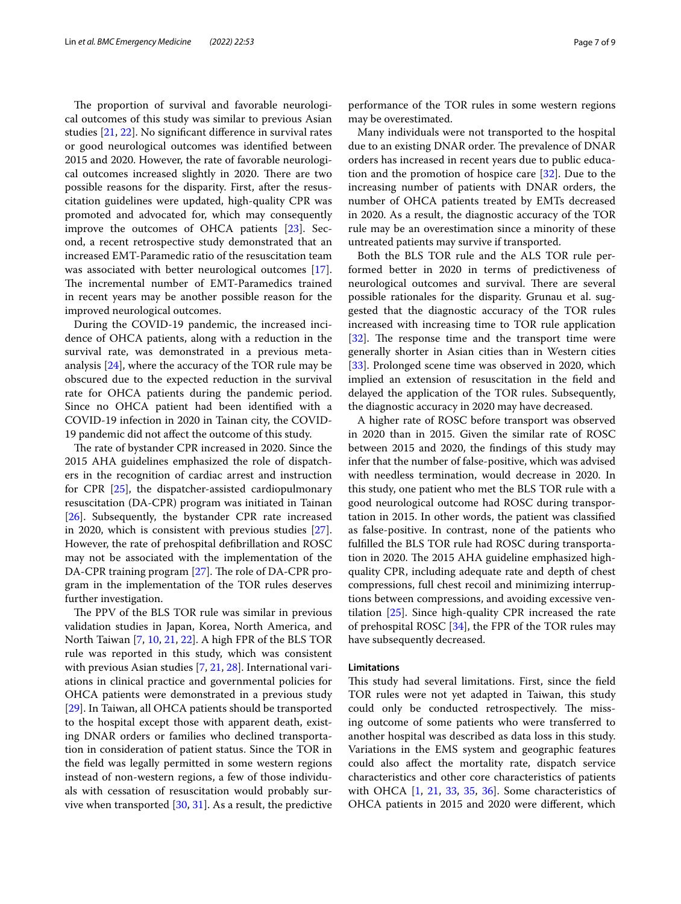The proportion of survival and favorable neurological outcomes of this study was similar to previous Asian studies [[21,](#page-8-15) [22](#page-8-16)]. No signifcant diference in survival rates or good neurological outcomes was identifed between 2015 and 2020. However, the rate of favorable neurological outcomes increased slightly in 2020. There are two possible reasons for the disparity. First, after the resuscitation guidelines were updated, high-quality CPR was promoted and advocated for, which may consequently improve the outcomes of OHCA patients [[23\]](#page-8-17). Second, a recent retrospective study demonstrated that an increased EMT-Paramedic ratio of the resuscitation team was associated with better neurological outcomes [\[17](#page-8-11)]. The incremental number of EMT-Paramedics trained in recent years may be another possible reason for the improved neurological outcomes.

During the COVID-19 pandemic, the increased incidence of OHCA patients, along with a reduction in the survival rate, was demonstrated in a previous metaanalysis [\[24](#page-8-18)], where the accuracy of the TOR rule may be obscured due to the expected reduction in the survival rate for OHCA patients during the pandemic period. Since no OHCA patient had been identifed with a COVID-19 infection in 2020 in Tainan city, the COVID-19 pandemic did not afect the outcome of this study.

The rate of bystander CPR increased in 2020. Since the 2015 AHA guidelines emphasized the role of dispatchers in the recognition of cardiac arrest and instruction for CPR [[25](#page-8-19)], the dispatcher-assisted cardiopulmonary resuscitation (DA-CPR) program was initiated in Tainan [[26\]](#page-8-20). Subsequently, the bystander CPR rate increased in 2020, which is consistent with previous studies [\[27](#page-8-21)]. However, the rate of prehospital defbrillation and ROSC may not be associated with the implementation of the DA-CPR training program  $[27]$  $[27]$  $[27]$ . The role of DA-CPR program in the implementation of the TOR rules deserves further investigation.

The PPV of the BLS TOR rule was similar in previous validation studies in Japan, Korea, North America, and North Taiwan [[7,](#page-8-3) [10](#page-8-6), [21,](#page-8-15) [22](#page-8-16)]. A high FPR of the BLS TOR rule was reported in this study, which was consistent with previous Asian studies [\[7](#page-8-3), [21,](#page-8-15) [28\]](#page-8-22). International variations in clinical practice and governmental policies for OHCA patients were demonstrated in a previous study [[29\]](#page-8-23). In Taiwan, all OHCA patients should be transported to the hospital except those with apparent death, existing DNAR orders or families who declined transportation in consideration of patient status. Since the TOR in the feld was legally permitted in some western regions instead of non-western regions, a few of those individuals with cessation of resuscitation would probably survive when transported [[30,](#page-8-24) [31](#page-8-25)]. As a result, the predictive performance of the TOR rules in some western regions may be overestimated.

Many individuals were not transported to the hospital due to an existing DNAR order. The prevalence of DNAR orders has increased in recent years due to public education and the promotion of hospice care [\[32](#page-8-26)]. Due to the increasing number of patients with DNAR orders, the number of OHCA patients treated by EMTs decreased in 2020. As a result, the diagnostic accuracy of the TOR rule may be an overestimation since a minority of these untreated patients may survive if transported.

Both the BLS TOR rule and the ALS TOR rule performed better in 2020 in terms of predictiveness of neurological outcomes and survival. There are several possible rationales for the disparity. Grunau et al. suggested that the diagnostic accuracy of the TOR rules increased with increasing time to TOR rule application  $[32]$  $[32]$ . The response time and the transport time were generally shorter in Asian cities than in Western cities [[33\]](#page-8-27). Prolonged scene time was observed in 2020, which implied an extension of resuscitation in the feld and delayed the application of the TOR rules. Subsequently, the diagnostic accuracy in 2020 may have decreased.

A higher rate of ROSC before transport was observed in 2020 than in 2015. Given the similar rate of ROSC between 2015 and 2020, the fndings of this study may infer that the number of false-positive, which was advised with needless termination, would decrease in 2020. In this study, one patient who met the BLS TOR rule with a good neurological outcome had ROSC during transportation in 2015. In other words, the patient was classifed as false-positive. In contrast, none of the patients who fulflled the BLS TOR rule had ROSC during transportation in 2020. The 2015 AHA guideline emphasized highquality CPR, including adequate rate and depth of chest compressions, full chest recoil and minimizing interruptions between compressions, and avoiding excessive ventilation [\[25](#page-8-19)]. Since high-quality CPR increased the rate of prehospital ROSC [[34\]](#page-8-28), the FPR of the TOR rules may have subsequently decreased.

#### **Limitations**

This study had several limitations. First, since the field TOR rules were not yet adapted in Taiwan, this study could only be conducted retrospectively. The missing outcome of some patients who were transferred to another hospital was described as data loss in this study. Variations in the EMS system and geographic features could also afect the mortality rate, dispatch service characteristics and other core characteristics of patients with OHCA  $[1, 21, 33, 35, 36]$  $[1, 21, 33, 35, 36]$  $[1, 21, 33, 35, 36]$  $[1, 21, 33, 35, 36]$  $[1, 21, 33, 35, 36]$  $[1, 21, 33, 35, 36]$  $[1, 21, 33, 35, 36]$  $[1, 21, 33, 35, 36]$  $[1, 21, 33, 35, 36]$ . Some characteristics of OHCA patients in 2015 and 2020 were diferent, which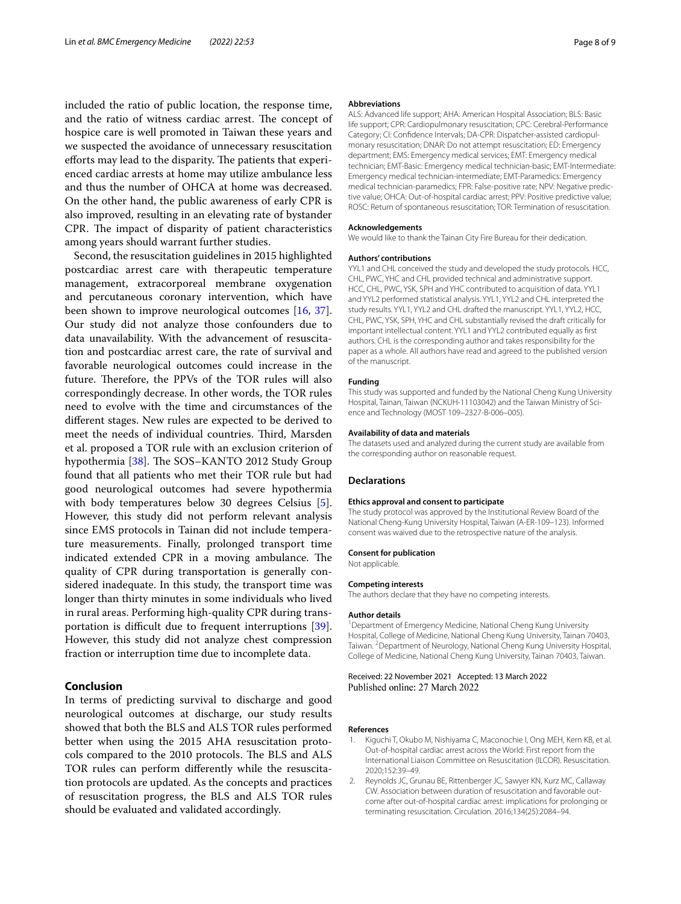included the ratio of public location, the response time, and the ratio of witness cardiac arrest. The concept of hospice care is well promoted in Taiwan these years and we suspected the avoidance of unnecessary resuscitation efforts may lead to the disparity. The patients that experienced cardiac arrests at home may utilize ambulance less and thus the number of OHCA at home was decreased. On the other hand, the public awareness of early CPR is also improved, resulting in an elevating rate of bystander CPR. The impact of disparity of patient characteristics among years should warrant further studies.

Second, the resuscitation guidelines in 2015 highlighted postcardiac arrest care with therapeutic temperature management, extracorporeal membrane oxygenation and percutaneous coronary intervention, which have been shown to improve neurological outcomes [[16,](#page-8-10) [37](#page-8-31)]. Our study did not analyze those confounders due to data unavailability. With the advancement of resuscitation and postcardiac arrest care, the rate of survival and favorable neurological outcomes could increase in the future. Therefore, the PPVs of the TOR rules will also correspondingly decrease. In other words, the TOR rules need to evolve with the time and circumstances of the diferent stages. New rules are expected to be derived to meet the needs of individual countries. Third, Marsden et al. proposed a TOR rule with an exclusion criterion of hypothermia [[38](#page-8-32)]. The SOS-KANTO 2012 Study Group found that all patients who met their TOR rule but had good neurological outcomes had severe hypothermia with body temperatures below 30 degrees Celsius [\[5](#page-8-2)]. However, this study did not perform relevant analysis since EMS protocols in Tainan did not include temperature measurements. Finally, prolonged transport time indicated extended CPR in a moving ambulance. The quality of CPR during transportation is generally considered inadequate. In this study, the transport time was longer than thirty minutes in some individuals who lived in rural areas. Performing high-quality CPR during trans-portation is difficult due to frequent interruptions [\[39](#page-8-33)]. However, this study did not analyze chest compression fraction or interruption time due to incomplete data.

# **Conclusion**

In terms of predicting survival to discharge and good neurological outcomes at discharge, our study results showed that both the BLS and ALS TOR rules performed better when using the 2015 AHA resuscitation protocols compared to the 2010 protocols. The BLS and ALS TOR rules can perform diferently while the resuscitation protocols are updated. As the concepts and practices of resuscitation progress, the BLS and ALS TOR rules should be evaluated and validated accordingly.

#### **Abbreviations**

ALS: Advanced life support; AHA: American Hospital Association; BLS: Basic life support; CPR: Cardiopulmonary resuscitation; CPC: Cerebral-Performance Category; CI: Confidence Intervals; DA-CPR: Dispatcher-assisted cardiopulmonary resuscitation; DNAR: Do not attempt resuscitation; ED: Emergency department; EMS: Emergency medical services; EMT: Emergency medical technician; EMT-Basic: Emergency medical technician-basic; EMT-Intermediate: Emergency medical technician-intermediate; EMT-Paramedics: Emergency medical technician-paramedics; FPR: False-positive rate; NPV: Negative predic‑ tive value; OHCA: Out-of-hospital cardiac arrest; PPV: Positive predictive value; ROSC: Return of spontaneous resuscitation; TOR: Termination of resuscitation.

#### **Acknowledgements**

We would like to thank the Tainan City Fire Bureau for their dedication.

#### **Authors' contributions**

YYL1 and CHL conceived the study and developed the study protocols. HCC, CHL, PWC, YHC and CHL provided technical and administrative support. HCC, CHL, PWC, YSK, SPH and YHC contributed to acquisition of data. YYL1 and YYL2 performed statistical analysis. YYL1, YYL2 and CHL interpreted the study results. YYL1, YYL2 and CHL drafted the manuscript. YYL1, YYL2, HCC, CHL, PWC, YSK, SPH, YHC and CHL substantially revised the draft critically for important intellectual content. YYL1 and YYL2 contributed equally as frst authors. CHL is the corresponding author and takes responsibility for the paper as a whole. All authors have read and agreed to the published version of the manuscript.

#### **Funding**

This study was supported and funded by the National Cheng Kung University Hospital, Tainan, Taiwan (NCKUH-11103042) and the Taiwan Ministry of Science and Technology (MOST 109–2327-B-006–005).

#### **Availability of data and materials**

The datasets used and analyzed during the current study are available from the corresponding author on reasonable request.

#### **Declarations**

#### **Ethics approval and consent to participate**

The study protocol was approved by the Institutional Review Board of the National Cheng-Kung University Hospital, Taiwan (A-ER-109–123). Informed consent was waived due to the retrospective nature of the analysis.

#### **Consent for publication**

Not applicable.

#### **Competing interests**

The authors declare that they have no competing interests.

#### **Author details**

<sup>1</sup> Department of Emergency Medicine, National Cheng Kung University Hospital, College of Medicine, National Cheng Kung University, Tainan 70403, Taiwan. <sup>2</sup> Department of Neurology, National Cheng Kung University Hospital, College of Medicine, National Cheng Kung University, Tainan 70403, Taiwan.

## Received: 22 November 2021 Accepted: 13 March 2022 Published online: 27 March 2022

#### **References**

- <span id="page-7-0"></span>Kiguchi T, Okubo M, Nishiyama C, Maconochie I, Ong MEH, Kern KB, et al. Out-of-hospital cardiac arrest across the World: First report from the International Liaison Committee on Resuscitation (ILCOR). Resuscitation. 2020;152:39–49.
- <span id="page-7-1"></span>2. Reynolds JC, Grunau BE, Rittenberger JC, Sawyer KN, Kurz MC, Callaway CW. Association between duration of resuscitation and favorable outcome after out-of-hospital cardiac arrest: implications for prolonging or terminating resuscitation. Circulation. 2016;134(25):2084–94.